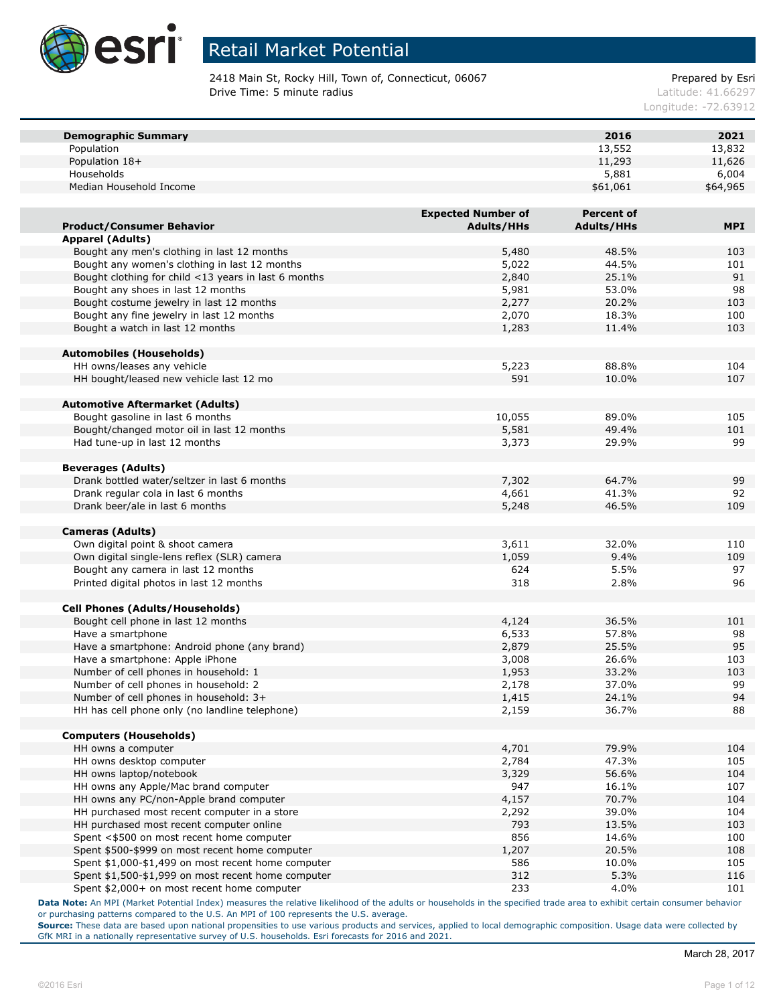

2418 Main St, Rocky Hill, Town of, Connecticut, 06067 example and the Prepared by Esri **Drive Time: 5 minute radius Contract Contract Contract Contract Contract Contract Contract Contract Contract Contract Contract Contract Contract Contract Contract Contract Contract Contract Contract Contract Contract Co** 

Longitude: -72.63912

| <b>Demographic Summary</b>                           |                           | 2016              | 2021       |
|------------------------------------------------------|---------------------------|-------------------|------------|
| Population                                           |                           | 13,552            | 13,832     |
| Population 18+                                       |                           | 11,293            | 11,626     |
| Households                                           |                           | 5,881             | 6,004      |
| Median Household Income                              |                           | \$61,061          | \$64,965   |
|                                                      |                           |                   |            |
|                                                      | <b>Expected Number of</b> | <b>Percent of</b> |            |
| <b>Product/Consumer Behavior</b>                     | <b>Adults/HHs</b>         | <b>Adults/HHs</b> | <b>MPI</b> |
| Apparel (Adults)                                     |                           |                   |            |
| Bought any men's clothing in last 12 months          | 5,480                     | 48.5%             | 103        |
| Bought any women's clothing in last 12 months        | 5,022                     | 44.5%             | 101        |
| Bought clothing for child <13 years in last 6 months | 2,840                     | 25.1%             | 91         |
| Bought any shoes in last 12 months                   | 5,981                     | 53.0%             | 98         |
| Bought costume jewelry in last 12 months             | 2,277                     | 20.2%             | 103        |
| Bought any fine jewelry in last 12 months            | 2,070                     | 18.3%             | 100        |
| Bought a watch in last 12 months                     | 1,283                     | 11.4%             | 103        |
|                                                      |                           |                   |            |
| <b>Automobiles (Households)</b>                      |                           |                   |            |
| HH owns/leases any vehicle                           | 5,223                     | 88.8%             | 104        |
| HH bought/leased new vehicle last 12 mo              | 591                       | 10.0%             | 107        |
|                                                      |                           |                   |            |
| <b>Automotive Aftermarket (Adults)</b>               |                           |                   |            |
| Bought gasoline in last 6 months                     | 10,055                    | 89.0%             | 105        |
| Bought/changed motor oil in last 12 months           | 5,581                     | 49.4%             | 101        |
| Had tune-up in last 12 months                        | 3,373                     | 29.9%             | 99         |
|                                                      |                           |                   |            |
| <b>Beverages (Adults)</b>                            |                           |                   |            |
| Drank bottled water/seltzer in last 6 months         | 7,302                     | 64.7%             | 99         |
| Drank regular cola in last 6 months                  | 4,661                     | 41.3%             | 92         |
| Drank beer/ale in last 6 months                      | 5,248                     | 46.5%             | 109        |
|                                                      |                           |                   |            |
| <b>Cameras (Adults)</b>                              |                           |                   |            |
| Own digital point & shoot camera                     | 3,611                     | 32.0%             | 110        |
| Own digital single-lens reflex (SLR) camera          | 1,059                     | 9.4%              | 109        |
| Bought any camera in last 12 months                  | 624                       | 5.5%              | 97         |
| Printed digital photos in last 12 months             | 318                       | 2.8%              | 96         |
|                                                      |                           |                   |            |
| <b>Cell Phones (Adults/Households)</b>               |                           |                   |            |
| Bought cell phone in last 12 months                  | 4,124                     | 36.5%             | 101        |
| Have a smartphone                                    | 6,533                     | 57.8%             | 98         |
| Have a smartphone: Android phone (any brand)         | 2,879                     | 25.5%             | 95         |
| Have a smartphone: Apple iPhone                      | 3,008                     | 26.6%             | 103        |
| Number of cell phones in household: 1                | 1,953                     | 33.2%             | 103        |
| Number of cell phones in household: 2                | 2,178                     | 37.0%             | 99         |
| Number of cell phones in household: 3+               | 1,415                     | 24.1%             | 94         |
| HH has cell phone only (no landline telephone)       | 2,159                     | 36.7%             | 88         |
|                                                      |                           |                   |            |
| <b>Computers (Households)</b>                        |                           |                   |            |
| HH owns a computer                                   | 4,701                     | 79.9%             | 104        |
| HH owns desktop computer                             | 2,784                     | 47.3%             | 105        |
| HH owns laptop/notebook                              | 3,329                     | 56.6%             | 104        |
| HH owns any Apple/Mac brand computer                 | 947                       | 16.1%             | 107        |
| HH owns any PC/non-Apple brand computer              | 4,157                     | 70.7%             | 104        |
| HH purchased most recent computer in a store         | 2,292                     | 39.0%             | 104        |
| HH purchased most recent computer online             | 793                       | 13.5%             | 103        |
| Spent <\$500 on most recent home computer            | 856                       | 14.6%             | 100        |
| Spent \$500-\$999 on most recent home computer       | 1,207                     | 20.5%             | 108        |
| Spent \$1,000-\$1,499 on most recent home computer   | 586                       | 10.0%             | 105        |
| Spent \$1,500-\$1,999 on most recent home computer   | 312                       | 5.3%              | 116        |
| Spent \$2,000+ on most recent home computer          | 233                       | 4.0%              | 101        |
|                                                      |                           |                   |            |

**Data Note:** An MPI (Market Potential Index) measures the relative likelihood of the adults or households in the specified trade area to exhibit certain consumer behavior or purchasing patterns compared to the U.S. An MPI of 100 represents the U.S. average.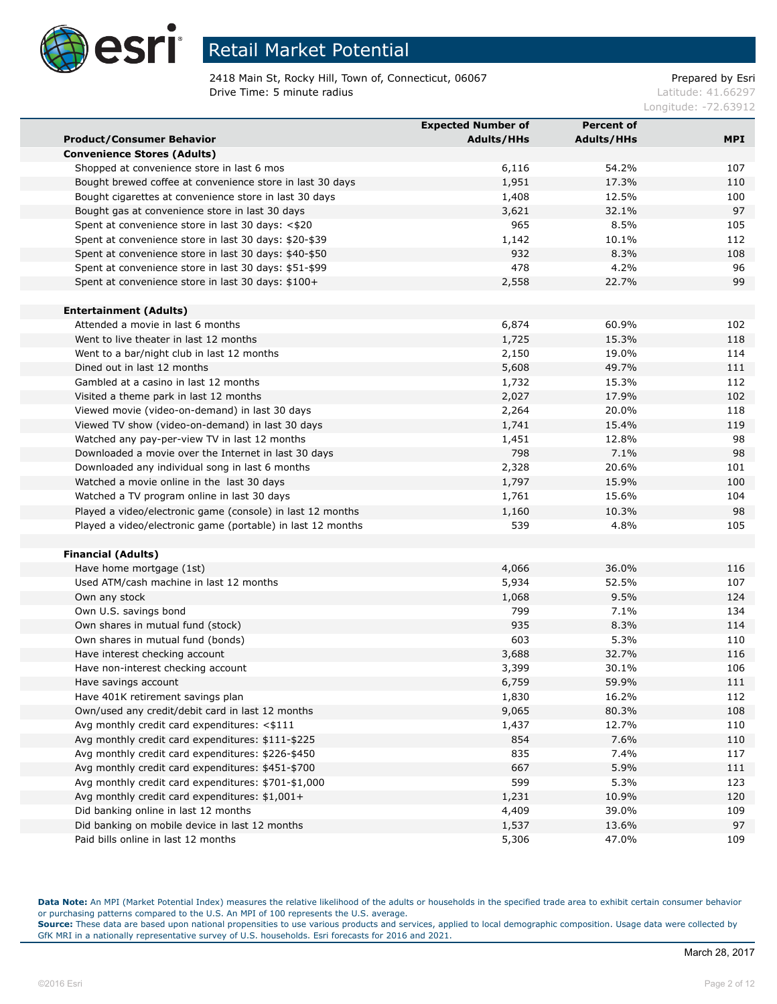

2418 Main St, Rocky Hill, Town of, Connecticut, 06067 example and the Prepared by Esri **Drive Time: 5 minute radius Contract Contract Contract Contract Contract Contract Contract Contract Contract Contract Contract Contract Contract Contract Contract Contract Contract Contract Contract Contract Contract Co** 

Longitude: -72.63912

|                                                             | <b>Expected Number of</b> | <b>Percent of</b> |            |
|-------------------------------------------------------------|---------------------------|-------------------|------------|
| <b>Product/Consumer Behavior</b>                            | <b>Adults/HHs</b>         | <b>Adults/HHs</b> | <b>MPI</b> |
| <b>Convenience Stores (Adults)</b>                          |                           |                   |            |
| Shopped at convenience store in last 6 mos                  | 6,116                     | 54.2%             | 107        |
| Bought brewed coffee at convenience store in last 30 days   | 1,951                     | 17.3%             | 110        |
| Bought cigarettes at convenience store in last 30 days      | 1,408                     | 12.5%             | 100        |
| Bought gas at convenience store in last 30 days             | 3,621                     | 32.1%             | 97         |
| Spent at convenience store in last 30 days: <\$20           | 965                       | 8.5%              | 105        |
| Spent at convenience store in last 30 days: \$20-\$39       | 1,142                     | 10.1%             | 112        |
| Spent at convenience store in last 30 days: \$40-\$50       | 932                       | 8.3%              | 108        |
| Spent at convenience store in last 30 days: \$51-\$99       | 478                       | 4.2%              | 96         |
| Spent at convenience store in last 30 days: \$100+          | 2,558                     | 22.7%             | 99         |
|                                                             |                           |                   |            |
| <b>Entertainment (Adults)</b>                               |                           |                   |            |
| Attended a movie in last 6 months                           | 6,874                     | 60.9%             | 102        |
| Went to live theater in last 12 months                      | 1,725                     | 15.3%             | 118        |
| Went to a bar/night club in last 12 months                  | 2,150                     | 19.0%             | 114        |
| Dined out in last 12 months                                 | 5,608                     | 49.7%             | 111        |
| Gambled at a casino in last 12 months                       | 1,732                     | 15.3%             | 112        |
| Visited a theme park in last 12 months                      | 2,027                     | 17.9%             | 102        |
| Viewed movie (video-on-demand) in last 30 days              | 2,264                     | 20.0%             | 118        |
| Viewed TV show (video-on-demand) in last 30 days            | 1,741                     | 15.4%             | 119        |
| Watched any pay-per-view TV in last 12 months               | 1,451                     | 12.8%             | 98         |
| Downloaded a movie over the Internet in last 30 days        | 798                       | 7.1%              | 98         |
| Downloaded any individual song in last 6 months             | 2,328                     | 20.6%             | 101        |
| Watched a movie online in the last 30 days                  | 1,797                     | 15.9%             | 100        |
| Watched a TV program online in last 30 days                 | 1,761                     | 15.6%             | 104        |
| Played a video/electronic game (console) in last 12 months  | 1,160                     | 10.3%             | 98         |
| Played a video/electronic game (portable) in last 12 months | 539                       | 4.8%              | 105        |
|                                                             |                           |                   |            |
| <b>Financial (Adults)</b>                                   |                           |                   |            |
| Have home mortgage (1st)                                    | 4,066                     | 36.0%             | 116        |
| Used ATM/cash machine in last 12 months                     | 5,934                     | 52.5%             | 107        |
| Own any stock                                               | 1,068                     | 9.5%              | 124        |
| Own U.S. savings bond                                       | 799                       | 7.1%              | 134        |
| Own shares in mutual fund (stock)                           | 935                       | 8.3%              | 114        |
| Own shares in mutual fund (bonds)                           | 603                       | 5.3%              | 110        |
| Have interest checking account                              | 3,688                     | 32.7%             | 116        |
| Have non-interest checking account                          | 3,399                     | 30.1%             | 106        |
| Have savings account                                        | 6,759                     | 59.9%             | 111        |
| Have 401K retirement savings plan                           | 1,830                     | 16.2%             | 112        |
| Own/used any credit/debit card in last 12 months            | 9,065                     | 80.3%             | 108        |
| Avg monthly credit card expenditures: <\$111                | 1,437                     | 12.7%             | 110        |
| Avg monthly credit card expenditures: \$111-\$225           | 854                       | 7.6%              | 110        |
| Avg monthly credit card expenditures: \$226-\$450           | 835                       | 7.4%              | 117        |
| Avg monthly credit card expenditures: \$451-\$700           | 667                       | 5.9%              | 111        |
| Avg monthly credit card expenditures: \$701-\$1,000         | 599                       | 5.3%              | 123        |
| Avg monthly credit card expenditures: \$1,001+              | 1,231                     | 10.9%             | 120        |
| Did banking online in last 12 months                        | 4,409                     | 39.0%             | 109        |
| Did banking on mobile device in last 12 months              | 1,537                     | 13.6%             | 97         |
| Paid bills online in last 12 months                         | 5,306                     | 47.0%             | 109        |

**Data Note:** An MPI (Market Potential Index) measures the relative likelihood of the adults or households in the specified trade area to exhibit certain consumer behavior or purchasing patterns compared to the U.S. An MPI of 100 represents the U.S. average.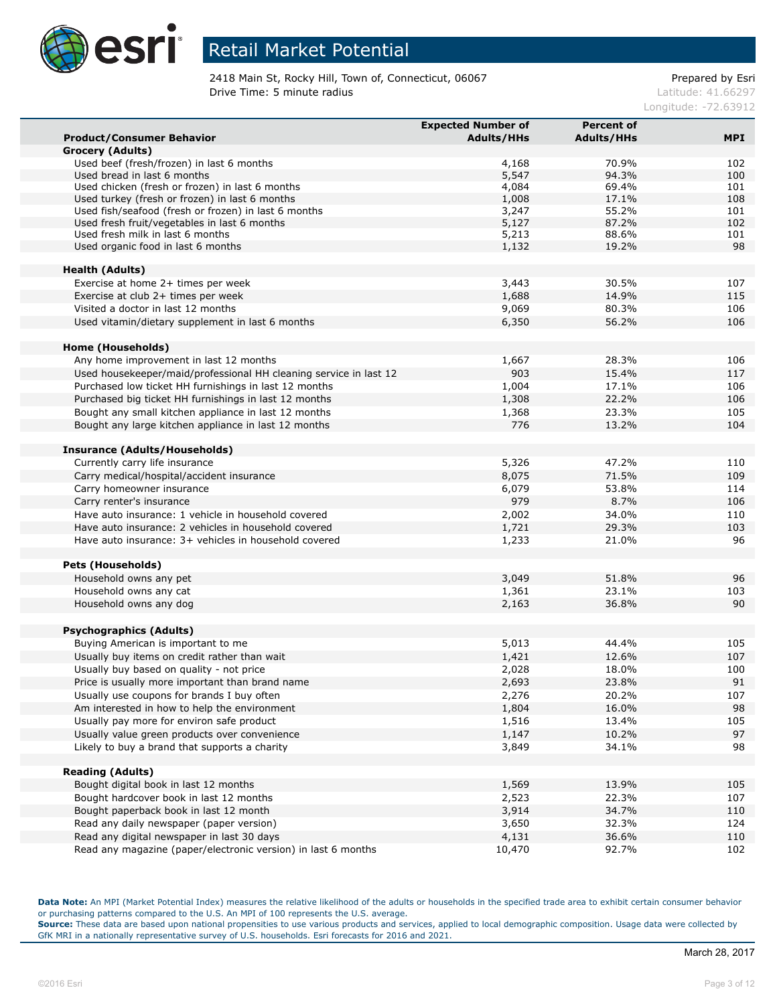

2418 Main St, Rocky Hill, Town of, Connecticut, 06067 example and the Prepared by Esri **Drive Time: 5 minute radius Contract Contract Contract Contract Contract Contract Contract Contract Contract Contract Contract Contract Contract Contract Contract Contract Contract Contract Contract Contract Contract Co** 

Longitude: -72.63912

|                                                                                  | <b>Expected Number of</b> | <b>Percent of</b> |            |
|----------------------------------------------------------------------------------|---------------------------|-------------------|------------|
| <b>Product/Consumer Behavior</b>                                                 | <b>Adults/HHs</b>         | <b>Adults/HHs</b> | <b>MPI</b> |
| Grocery (Adults)                                                                 |                           |                   |            |
| Used beef (fresh/frozen) in last 6 months                                        | 4,168                     | 70.9%             | 102        |
| Used bread in last 6 months                                                      | 5,547                     | 94.3%             | 100        |
| Used chicken (fresh or frozen) in last 6 months                                  | 4,084                     | 69.4%             | 101        |
| Used turkey (fresh or frozen) in last 6 months                                   | 1,008                     | 17.1%             | 108        |
| Used fish/seafood (fresh or frozen) in last 6 months                             | 3,247                     | 55.2%             | 101        |
| Used fresh fruit/vegetables in last 6 months<br>Used fresh milk in last 6 months | 5,127<br>5,213            | 87.2%<br>88.6%    | 102<br>101 |
| Used organic food in last 6 months                                               | 1,132                     | 19.2%             | 98         |
|                                                                                  |                           |                   |            |
| <b>Health (Adults)</b>                                                           |                           |                   |            |
| Exercise at home 2+ times per week                                               | 3,443                     | 30.5%             | 107        |
| Exercise at club 2+ times per week                                               | 1,688                     | 14.9%             | 115        |
| Visited a doctor in last 12 months                                               | 9,069                     | 80.3%             | 106        |
| Used vitamin/dietary supplement in last 6 months                                 | 6,350                     | 56.2%             | 106        |
|                                                                                  |                           |                   |            |
| Home (Households)                                                                |                           |                   |            |
| Any home improvement in last 12 months                                           | 1,667                     | 28.3%             | 106        |
| Used housekeeper/maid/professional HH cleaning service in last 12                | 903                       | 15.4%             | 117        |
| Purchased low ticket HH furnishings in last 12 months                            | 1,004                     | 17.1%             | 106        |
| Purchased big ticket HH furnishings in last 12 months                            | 1,308                     | 22.2%             | 106        |
| Bought any small kitchen appliance in last 12 months                             | 1,368                     | 23.3%             | 105        |
| Bought any large kitchen appliance in last 12 months                             | 776                       | 13.2%             | 104        |
|                                                                                  |                           |                   |            |
| <b>Insurance (Adults/Households)</b>                                             |                           |                   |            |
| Currently carry life insurance                                                   | 5,326                     | 47.2%             | 110        |
| Carry medical/hospital/accident insurance                                        | 8,075                     | 71.5%             | 109        |
| Carry homeowner insurance                                                        | 6,079                     | 53.8%             | 114        |
| Carry renter's insurance                                                         | 979                       | 8.7%              | 106        |
| Have auto insurance: 1 vehicle in household covered                              | 2,002                     | 34.0%<br>29.3%    | 110        |
| Have auto insurance: 2 vehicles in household covered                             | 1,721                     |                   | 103<br>96  |
| Have auto insurance: 3+ vehicles in household covered                            | 1,233                     | 21.0%             |            |
| <b>Pets (Households)</b>                                                         |                           |                   |            |
| Household owns any pet                                                           | 3,049                     | 51.8%             | 96         |
| Household owns any cat                                                           | 1,361                     | 23.1%             | 103        |
| Household owns any dog                                                           | 2,163                     | 36.8%             | 90         |
|                                                                                  |                           |                   |            |
| <b>Psychographics (Adults)</b>                                                   |                           |                   |            |
| Buying American is important to me                                               | 5,013                     | 44.4%             | 105        |
| Usually buy items on credit rather than wait                                     | 1,421                     | 12.6%             | 107        |
| Usually buy based on quality - not price                                         | 2,028                     | 18.0%             | 100        |
| Price is usually more important than brand name                                  | 2,693                     | 23.8%             | 91         |
| Usually use coupons for brands I buy often                                       | 2,276                     | 20.2%             | 107        |
| Am interested in how to help the environment                                     | 1,804                     | 16.0%             | 98         |
| Usually pay more for environ safe product                                        | 1,516                     | 13.4%             | 105        |
| Usually value green products over convenience                                    | 1,147                     | 10.2%             | 97         |
| Likely to buy a brand that supports a charity                                    | 3,849                     | 34.1%             | 98         |
|                                                                                  |                           |                   |            |
| <b>Reading (Adults)</b>                                                          |                           |                   |            |
| Bought digital book in last 12 months                                            | 1,569                     | 13.9%             | 105        |
| Bought hardcover book in last 12 months                                          | 2,523                     | 22.3%             | 107        |
| Bought paperback book in last 12 month                                           | 3,914                     | 34.7%             | 110        |
| Read any daily newspaper (paper version)                                         | 3,650                     | 32.3%             | 124        |
| Read any digital newspaper in last 30 days                                       | 4,131                     | 36.6%             | 110        |
| Read any magazine (paper/electronic version) in last 6 months                    | 10,470                    | 92.7%             | 102        |

**Data Note:** An MPI (Market Potential Index) measures the relative likelihood of the adults or households in the specified trade area to exhibit certain consumer behavior or purchasing patterns compared to the U.S. An MPI of 100 represents the U.S. average.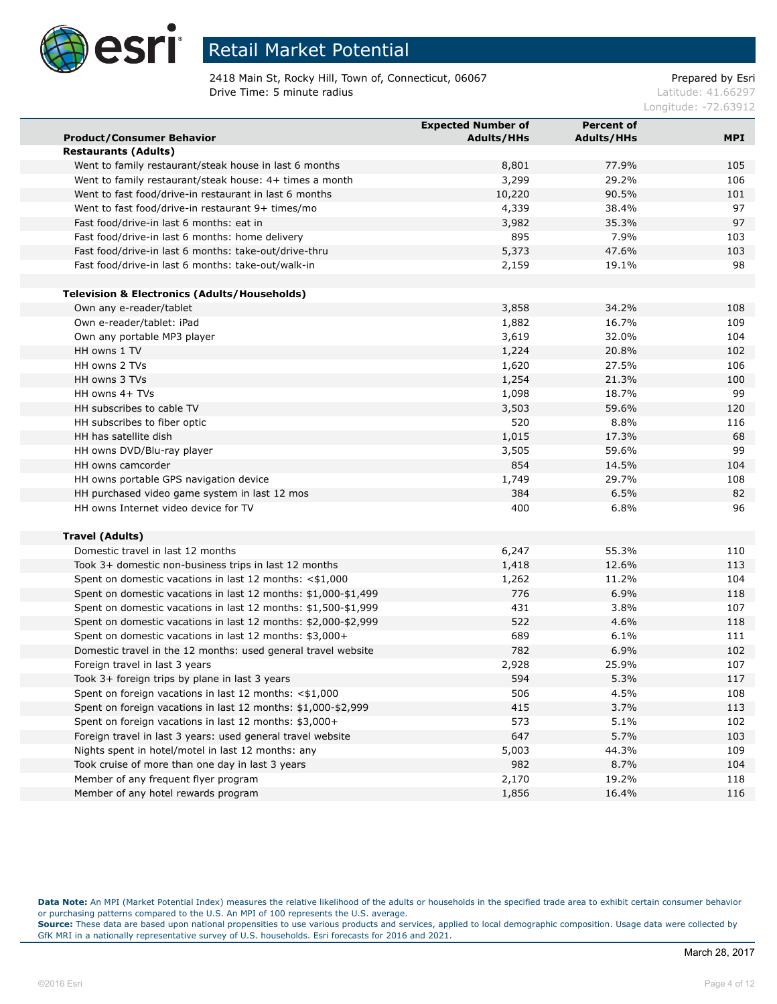

2418 Main St, Rocky Hill, Town of, Connecticut, 06067 example and the Prepared by Esri **Drive Time: 5 minute radius Contract Contract Contract Contract Contract Contract Contract Contract Contract Contract Contract Contract Contract Contract Contract Contract Contract Contract Contract Contract Contract Co** 

Longitude: -72.63912

|                                                                | <b>Expected Number of</b> | <b>Percent of</b> |            |
|----------------------------------------------------------------|---------------------------|-------------------|------------|
| <b>Product/Consumer Behavior</b>                               | <b>Adults/HHs</b>         | <b>Adults/HHs</b> | <b>MPI</b> |
| <b>Restaurants (Adults)</b>                                    |                           |                   |            |
| Went to family restaurant/steak house in last 6 months         | 8,801                     | 77.9%             | 105        |
| Went to family restaurant/steak house: 4+ times a month        | 3,299                     | 29.2%             | 106        |
| Went to fast food/drive-in restaurant in last 6 months         | 10,220                    | 90.5%             | 101        |
| Went to fast food/drive-in restaurant 9+ times/mo              | 4,339                     | 38.4%             | 97         |
| Fast food/drive-in last 6 months: eat in                       | 3,982                     | 35.3%             | 97         |
| Fast food/drive-in last 6 months: home delivery                | 895                       | 7.9%              | 103        |
| Fast food/drive-in last 6 months: take-out/drive-thru          | 5,373                     | 47.6%             | 103        |
| Fast food/drive-in last 6 months: take-out/walk-in             | 2,159                     | 19.1%             | 98         |
|                                                                |                           |                   |            |
| <b>Television &amp; Electronics (Adults/Households)</b>        |                           |                   |            |
| Own any e-reader/tablet                                        | 3,858                     | 34.2%             | 108        |
| Own e-reader/tablet: iPad                                      | 1,882                     | 16.7%             | 109        |
| Own any portable MP3 player                                    | 3,619                     | 32.0%             | 104        |
| HH owns 1 TV                                                   | 1,224                     | 20.8%             | 102        |
| HH owns 2 TVs                                                  | 1,620                     | 27.5%             | 106        |
| HH owns 3 TVs                                                  | 1,254                     | 21.3%             | 100        |
| HH owns 4+ TVs                                                 | 1,098                     | 18.7%             | 99         |
| HH subscribes to cable TV                                      | 3,503                     | 59.6%             | 120        |
| HH subscribes to fiber optic                                   | 520                       | 8.8%              | 116        |
| HH has satellite dish                                          | 1,015                     | 17.3%             | 68         |
| HH owns DVD/Blu-ray player                                     | 3,505                     | 59.6%             | 99         |
| HH owns camcorder                                              | 854                       | 14.5%             | 104        |
| HH owns portable GPS navigation device                         | 1,749                     | 29.7%             | 108        |
| HH purchased video game system in last 12 mos                  | 384                       | 6.5%              | 82         |
| HH owns Internet video device for TV                           | 400                       | 6.8%              | 96         |
|                                                                |                           |                   |            |
| <b>Travel (Adults)</b>                                         |                           |                   |            |
| Domestic travel in last 12 months                              | 6,247                     | 55.3%             | 110        |
| Took 3+ domestic non-business trips in last 12 months          | 1,418                     | 12.6%             | 113        |
| Spent on domestic vacations in last 12 months: $<$ \$1,000     | 1,262                     | 11.2%             | 104        |
| Spent on domestic vacations in last 12 months: \$1,000-\$1,499 | 776                       | 6.9%              | 118        |
| Spent on domestic vacations in last 12 months: \$1,500-\$1,999 | 431                       | 3.8%              | 107        |
| Spent on domestic vacations in last 12 months: \$2,000-\$2,999 | 522                       | 4.6%              | 118        |
| Spent on domestic vacations in last 12 months: \$3,000+        | 689                       | 6.1%              | 111        |
| Domestic travel in the 12 months: used general travel website  | 782                       | 6.9%              | 102        |
| Foreign travel in last 3 years                                 | 2,928                     | 25.9%             | 107        |
| Took 3+ foreign trips by plane in last 3 years                 | 594                       | 5.3%              | 117        |
| Spent on foreign vacations in last 12 months: <\$1,000         | 506                       | 4.5%              | 108        |
| Spent on foreign vacations in last 12 months: \$1,000-\$2,999  | 415                       | 3.7%              | 113        |
| Spent on foreign vacations in last 12 months: \$3,000+         | 573                       | 5.1%              | 102        |
| Foreign travel in last 3 years: used general travel website    | 647                       | 5.7%              | 103        |
| Nights spent in hotel/motel in last 12 months: any             | 5,003                     | 44.3%             | 109        |
| Took cruise of more than one day in last 3 years               | 982                       | 8.7%              | 104        |
| Member of any frequent flyer program                           | 2,170                     | 19.2%             | 118        |
| Member of any hotel rewards program                            | 1,856                     | 16.4%             | 116        |

**Data Note:** An MPI (Market Potential Index) measures the relative likelihood of the adults or households in the specified trade area to exhibit certain consumer behavior or purchasing patterns compared to the U.S. An MPI of 100 represents the U.S. average.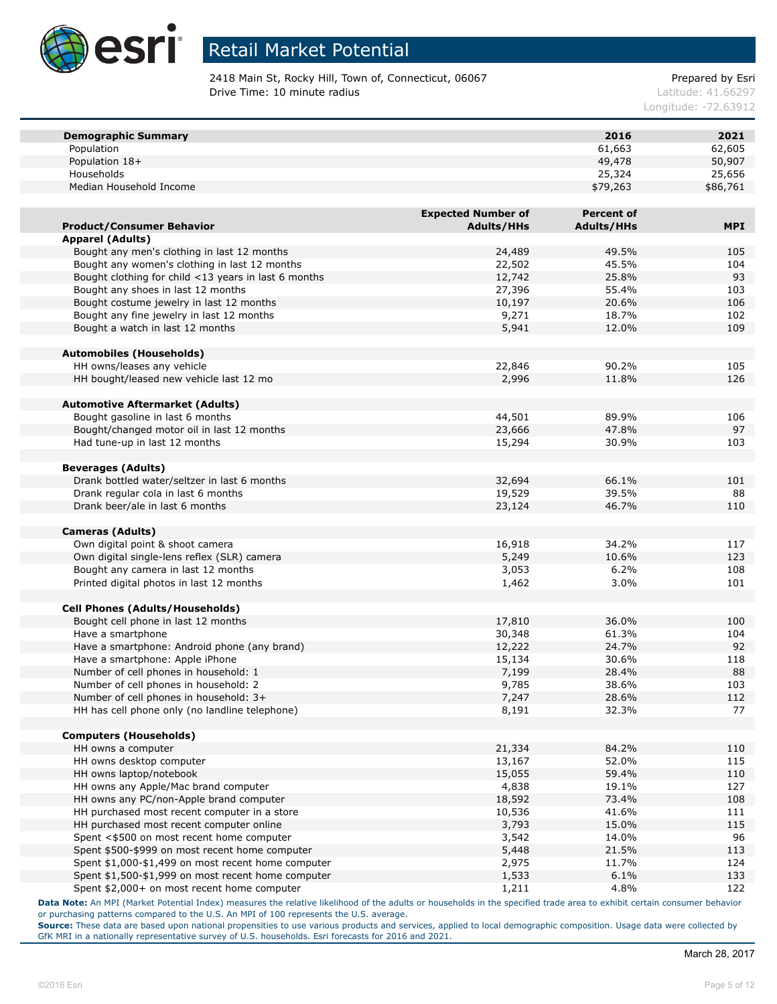

2418 Main St, Rocky Hill, Town of, Connecticut, 06067 example and the Prepared by Esri **Drive Time: 10 minute radius Latitude: 41.66297** 

Longitude: -72.63912

| <b>Demographic Summary</b>                           |                           | 2016              | 2021       |
|------------------------------------------------------|---------------------------|-------------------|------------|
| Population                                           |                           | 61,663            | 62,605     |
| Population 18+                                       |                           | 49,478            | 50,907     |
| Households                                           |                           | 25,324            | 25,656     |
| Median Household Income                              |                           | \$79,263          | \$86,761   |
|                                                      |                           |                   |            |
|                                                      | <b>Expected Number of</b> | <b>Percent of</b> |            |
| <b>Product/Consumer Behavior</b>                     | <b>Adults/HHs</b>         | <b>Adults/HHs</b> | <b>MPI</b> |
| <b>Apparel (Adults)</b>                              |                           |                   |            |
| Bought any men's clothing in last 12 months          | 24,489                    | 49.5%             | 105        |
| Bought any women's clothing in last 12 months        | 22,502                    | 45.5%             | 104        |
| Bought clothing for child <13 years in last 6 months | 12,742                    | 25.8%             | 93         |
| Bought any shoes in last 12 months                   | 27,396                    | 55.4%             | 103        |
| Bought costume jewelry in last 12 months             | 10,197                    | 20.6%             | 106        |
| Bought any fine jewelry in last 12 months            | 9,271                     | 18.7%             | 102        |
| Bought a watch in last 12 months                     | 5,941                     | 12.0%             | 109        |
| <b>Automobiles (Households)</b>                      |                           |                   |            |
| HH owns/leases any vehicle                           | 22,846                    | 90.2%             | 105        |
| HH bought/leased new vehicle last 12 mo              | 2,996                     | 11.8%             | 126        |
|                                                      |                           |                   |            |
| <b>Automotive Aftermarket (Adults)</b>               |                           |                   |            |
| Bought gasoline in last 6 months                     | 44,501                    | 89.9%             | 106        |
| Bought/changed motor oil in last 12 months           | 23,666                    | 47.8%             | 97         |
| Had tune-up in last 12 months                        | 15,294                    | 30.9%             | 103        |
| <b>Beverages (Adults)</b>                            |                           |                   |            |
| Drank bottled water/seltzer in last 6 months         | 32,694                    | 66.1%             | 101        |
| Drank regular cola in last 6 months                  | 19,529                    | 39.5%             | 88         |
| Drank beer/ale in last 6 months                      | 23,124                    | 46.7%             | 110        |
|                                                      |                           |                   |            |
| <b>Cameras (Adults)</b>                              |                           |                   |            |
| Own digital point & shoot camera                     | 16,918                    | 34.2%             | 117        |
| Own digital single-lens reflex (SLR) camera          | 5,249                     | 10.6%             | 123        |
| Bought any camera in last 12 months                  | 3,053                     | 6.2%              | 108        |
| Printed digital photos in last 12 months             | 1,462                     | 3.0%              | 101        |
| <b>Cell Phones (Adults/Households)</b>               |                           |                   |            |
| Bought cell phone in last 12 months                  | 17,810                    | 36.0%             | 100        |
| Have a smartphone                                    | 30,348                    | 61.3%             | 104        |
| Have a smartphone: Android phone (any brand)         | 12,222                    | 24.7%             | 92         |
| Have a smartphone: Apple iPhone                      | 15,134                    | 30.6%             | 118        |
| Number of cell phones in household: 1                | 7,199                     | 28.4%             | 88         |
| Number of cell phones in household: 2                | 9,785                     | 38.6%             | 103        |
| Number of cell phones in household: 3+               | 7,247                     | 28.6%             | 112        |
| HH has cell phone only (no landline telephone)       | 8,191                     | 32.3%             | 77         |
|                                                      |                           |                   |            |
| <b>Computers (Households)</b><br>HH owns a computer  | 21,334                    | 84.2%             | 110        |
| HH owns desktop computer                             | 13,167                    | 52.0%             | 115        |
| HH owns laptop/notebook                              | 15,055                    | 59.4%             | 110        |
| HH owns any Apple/Mac brand computer                 | 4,838                     | 19.1%             | 127        |
| HH owns any PC/non-Apple brand computer              | 18,592                    | 73.4%             | 108        |
| HH purchased most recent computer in a store         | 10,536                    | 41.6%             | 111        |
| HH purchased most recent computer online             | 3,793                     | 15.0%             | 115        |
| Spent <\$500 on most recent home computer            | 3,542                     | 14.0%             | 96         |
| Spent \$500-\$999 on most recent home computer       | 5,448                     | 21.5%             | 113        |
| Spent \$1,000-\$1,499 on most recent home computer   | 2,975                     | 11.7%             | 124        |
| Spent \$1,500-\$1,999 on most recent home computer   | 1,533                     | 6.1%              | 133        |
| Spent \$2,000+ on most recent home computer          | 1,211                     | 4.8%              | 122        |

**Data Note:** An MPI (Market Potential Index) measures the relative likelihood of the adults or households in the specified trade area to exhibit certain consumer behavior or purchasing patterns compared to the U.S. An MPI of 100 represents the U.S. average.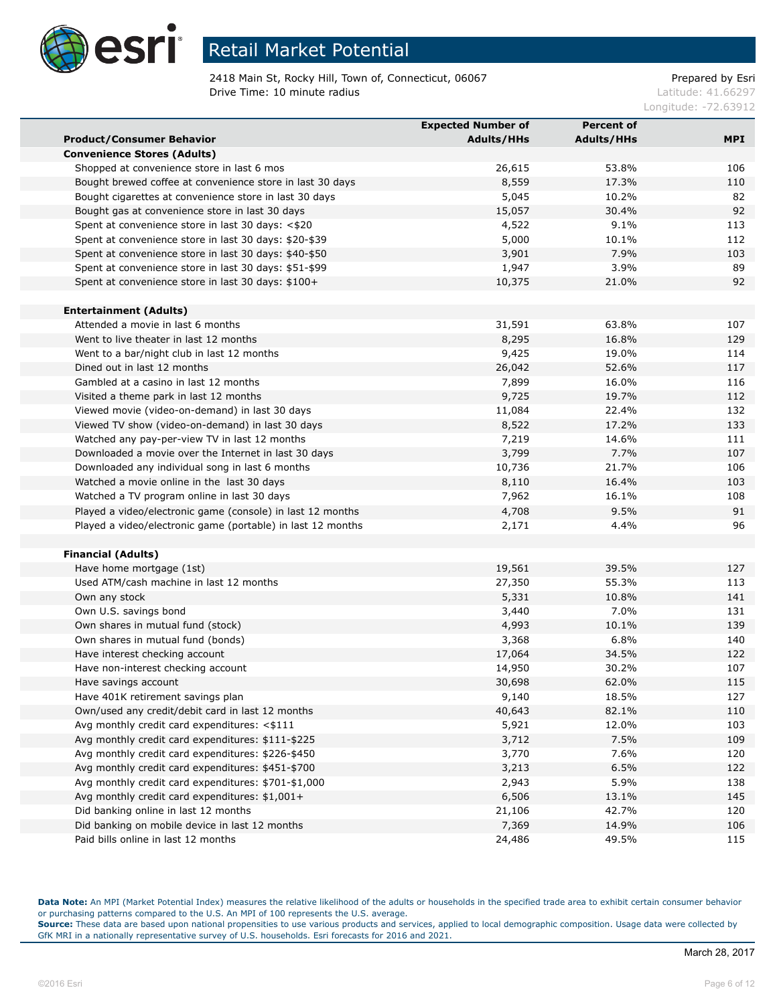

2418 Main St, Rocky Hill, Town of, Connecticut, 06067 Prepared by Esri **Drive Time: 10 minute radius Latitude: 41.66297** 

Longitude: -72.63912

|                                                             | <b>Expected Number of</b> | <b>Percent of</b> |     |
|-------------------------------------------------------------|---------------------------|-------------------|-----|
| <b>Product/Consumer Behavior</b>                            | <b>Adults/HHs</b>         | <b>Adults/HHs</b> | MPI |
| <b>Convenience Stores (Adults)</b>                          |                           |                   |     |
| Shopped at convenience store in last 6 mos                  | 26,615                    | 53.8%             | 106 |
| Bought brewed coffee at convenience store in last 30 days   | 8,559                     | 17.3%             | 110 |
| Bought cigarettes at convenience store in last 30 days      | 5,045                     | 10.2%             | 82  |
| Bought gas at convenience store in last 30 days             | 15,057                    | 30.4%             | 92  |
| Spent at convenience store in last 30 days: <\$20           | 4,522                     | 9.1%              | 113 |
| Spent at convenience store in last 30 days: \$20-\$39       | 5,000                     | 10.1%             | 112 |
| Spent at convenience store in last 30 days: \$40-\$50       | 3,901                     | 7.9%              | 103 |
| Spent at convenience store in last 30 days: \$51-\$99       | 1,947                     | 3.9%              | 89  |
| Spent at convenience store in last 30 days: \$100+          | 10,375                    | 21.0%             | 92  |
|                                                             |                           |                   |     |
| <b>Entertainment (Adults)</b>                               |                           |                   |     |
| Attended a movie in last 6 months                           | 31,591                    | 63.8%             | 107 |
| Went to live theater in last 12 months                      | 8,295                     | 16.8%             | 129 |
| Went to a bar/night club in last 12 months                  | 9,425                     | 19.0%             | 114 |
| Dined out in last 12 months                                 | 26,042                    | 52.6%             | 117 |
| Gambled at a casino in last 12 months                       | 7,899                     | 16.0%             | 116 |
| Visited a theme park in last 12 months                      | 9,725                     | 19.7%             | 112 |
| Viewed movie (video-on-demand) in last 30 days              | 11,084                    | 22.4%             | 132 |
| Viewed TV show (video-on-demand) in last 30 days            | 8,522                     | 17.2%             | 133 |
| Watched any pay-per-view TV in last 12 months               | 7,219                     | 14.6%             | 111 |
| Downloaded a movie over the Internet in last 30 days        | 3,799                     | 7.7%              | 107 |
| Downloaded any individual song in last 6 months             | 10,736                    | 21.7%             | 106 |
| Watched a movie online in the last 30 days                  | 8,110                     | 16.4%             | 103 |
| Watched a TV program online in last 30 days                 | 7,962                     | 16.1%             | 108 |
| Played a video/electronic game (console) in last 12 months  | 4,708                     | 9.5%              | 91  |
| Played a video/electronic game (portable) in last 12 months | 2,171                     | 4.4%              | 96  |
|                                                             |                           |                   |     |
| <b>Financial (Adults)</b>                                   |                           |                   |     |
| Have home mortgage (1st)                                    | 19,561                    | 39.5%             | 127 |
| Used ATM/cash machine in last 12 months                     | 27,350                    | 55.3%             | 113 |
| Own any stock                                               | 5,331                     | 10.8%             | 141 |
| Own U.S. savings bond                                       | 3,440                     | 7.0%              | 131 |
| Own shares in mutual fund (stock)                           | 4,993                     | 10.1%             | 139 |
| Own shares in mutual fund (bonds)                           | 3,368                     | 6.8%              | 140 |
| Have interest checking account                              | 17,064                    | 34.5%             | 122 |
| Have non-interest checking account                          | 14,950                    | 30.2%             | 107 |
| Have savings account                                        | 30,698                    | 62.0%             | 115 |
| Have 401K retirement savings plan                           | 9,140                     | 18.5%             | 127 |
| Own/used any credit/debit card in last 12 months            | 40,643                    | 82.1%             | 110 |
| Avg monthly credit card expenditures: <\$111                | 5,921                     | 12.0%             | 103 |
| Avg monthly credit card expenditures: \$111-\$225           | 3,712                     | 7.5%              | 109 |
| Avg monthly credit card expenditures: \$226-\$450           | 3,770                     | 7.6%              | 120 |
| Avg monthly credit card expenditures: \$451-\$700           | 3,213                     | 6.5%              | 122 |
| Avg monthly credit card expenditures: \$701-\$1,000         | 2,943                     | 5.9%              | 138 |
| Avg monthly credit card expenditures: \$1,001+              | 6,506                     | 13.1%             | 145 |
| Did banking online in last 12 months                        | 21,106                    | 42.7%             | 120 |
| Did banking on mobile device in last 12 months              | 7,369                     | 14.9%             | 106 |
| Paid bills online in last 12 months                         | 24,486                    | 49.5%             | 115 |

**Data Note:** An MPI (Market Potential Index) measures the relative likelihood of the adults or households in the specified trade area to exhibit certain consumer behavior or purchasing patterns compared to the U.S. An MPI of 100 represents the U.S. average.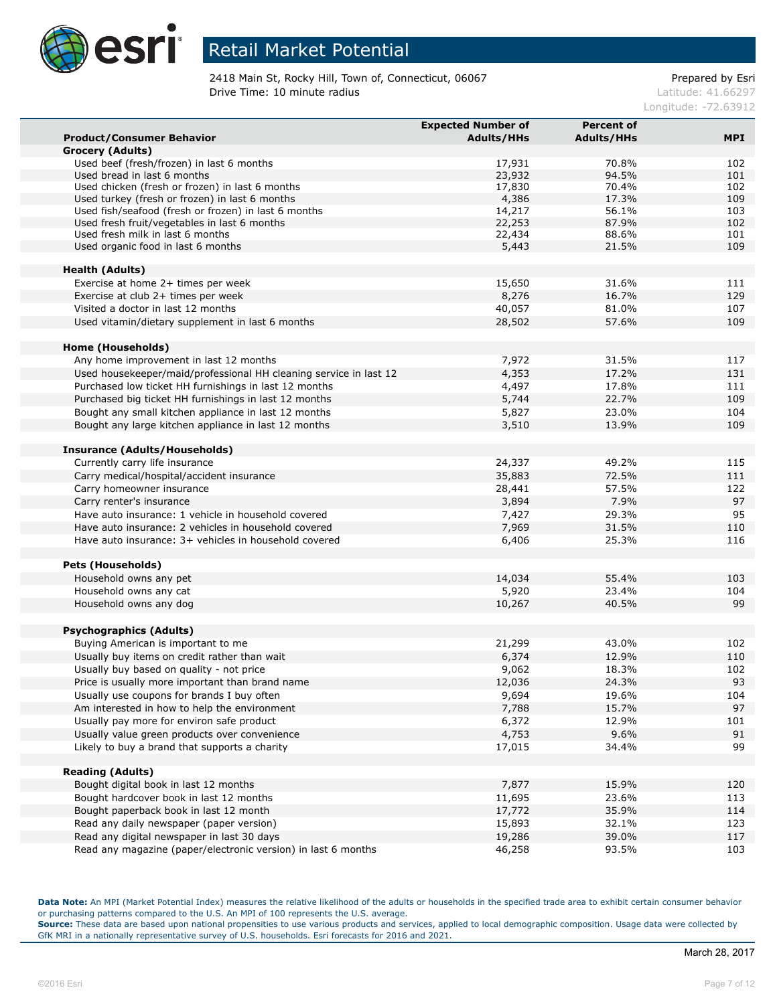

2418 Main St, Rocky Hill, Town of, Connecticut, 06067 example and the Prepared by Esri **Drive Time: 10 minute radius Latitude: 41.66297** 

Longitude: -72.63912

|                                                                   | <b>Expected Number of</b> | <b>Percent of</b> |            |
|-------------------------------------------------------------------|---------------------------|-------------------|------------|
| <b>Product/Consumer Behavior</b>                                  | <b>Adults/HHs</b>         | <b>Adults/HHs</b> | <b>MPI</b> |
| <b>Grocery (Adults)</b>                                           |                           |                   |            |
| Used beef (fresh/frozen) in last 6 months                         | 17,931                    | 70.8%             | 102        |
| Used bread in last 6 months                                       | 23,932                    | 94.5%             | 101        |
| Used chicken (fresh or frozen) in last 6 months                   | 17,830                    | 70.4%             | 102        |
| Used turkey (fresh or frozen) in last 6 months                    | 4,386                     | 17.3%             | 109        |
| Used fish/seafood (fresh or frozen) in last 6 months              | 14,217                    | 56.1%             | 103        |
| Used fresh fruit/vegetables in last 6 months                      | 22,253                    | 87.9%             | 102        |
| Used fresh milk in last 6 months                                  | 22,434                    | 88.6%             | 101        |
| Used organic food in last 6 months                                | 5,443                     | 21.5%             | 109        |
| <b>Health (Adults)</b>                                            |                           |                   |            |
| Exercise at home 2+ times per week                                | 15,650                    | 31.6%             | 111        |
| Exercise at club 2+ times per week                                | 8,276                     | 16.7%             | 129        |
| Visited a doctor in last 12 months                                | 40,057                    | 81.0%             | 107        |
| Used vitamin/dietary supplement in last 6 months                  | 28,502                    | 57.6%             | 109        |
|                                                                   |                           |                   |            |
| <b>Home (Households)</b>                                          |                           |                   |            |
| Any home improvement in last 12 months                            | 7,972                     | 31.5%             | 117        |
| Used housekeeper/maid/professional HH cleaning service in last 12 | 4,353                     | 17.2%             | 131        |
| Purchased low ticket HH furnishings in last 12 months             | 4,497                     | 17.8%             | 111        |
| Purchased big ticket HH furnishings in last 12 months             | 5,744                     | 22.7%             | 109        |
| Bought any small kitchen appliance in last 12 months              | 5,827                     | 23.0%             | 104        |
| Bought any large kitchen appliance in last 12 months              | 3,510                     | 13.9%             | 109        |
|                                                                   |                           |                   |            |
| Insurance (Adults/Households)                                     |                           |                   |            |
| Currently carry life insurance                                    | 24,337                    | 49.2%             | 115        |
| Carry medical/hospital/accident insurance                         | 35,883                    | 72.5%             | 111        |
| Carry homeowner insurance                                         | 28,441                    | 57.5%             | 122        |
| Carry renter's insurance                                          | 3,894                     | 7.9%              | 97         |
| Have auto insurance: 1 vehicle in household covered               | 7,427                     | 29.3%             | 95         |
| Have auto insurance: 2 vehicles in household covered              | 7,969                     | 31.5%             | 110        |
| Have auto insurance: 3+ vehicles in household covered             | 6,406                     | 25.3%             | 116        |
|                                                                   |                           |                   |            |
| <b>Pets (Households)</b>                                          |                           |                   |            |
| Household owns any pet                                            | 14,034                    | 55.4%             | 103        |
| Household owns any cat                                            | 5,920                     | 23.4%             | 104        |
| Household owns any dog                                            | 10,267                    | 40.5%             | 99         |
|                                                                   |                           |                   |            |
| <b>Psychographics (Adults)</b>                                    |                           |                   |            |
| Buying American is important to me                                | 21,299                    | 43.0%             | 102        |
| Usually buy items on credit rather than wait                      | 6,374                     | 12.9%             | 110        |
| Usually buy based on quality - not price                          | 9,062                     | 18.3%             | 102        |
| Price is usually more important than brand name                   | 12,036                    | 24.3%             | 93         |
| Usually use coupons for brands I buy often                        | 9,694                     | 19.6%             | 104        |
| Am interested in how to help the environment                      | 7,788                     | 15.7%             | 97         |
| Usually pay more for environ safe product                         | 6,372                     | 12.9%             | 101        |
| Usually value green products over convenience                     | 4,753                     | 9.6%              | 91         |
| Likely to buy a brand that supports a charity                     | 17,015                    | 34.4%             | 99         |
|                                                                   |                           |                   |            |
| <b>Reading (Adults)</b>                                           |                           |                   |            |
| Bought digital book in last 12 months                             | 7,877                     | 15.9%             | 120        |
| Bought hardcover book in last 12 months                           | 11,695                    | 23.6%             | 113        |
| Bought paperback book in last 12 month                            | 17,772                    | 35.9%             | 114        |
| Read any daily newspaper (paper version)                          | 15,893                    | 32.1%             | 123        |
| Read any digital newspaper in last 30 days                        | 19,286                    | 39.0%             | 117        |
| Read any magazine (paper/electronic version) in last 6 months     | 46,258                    | 93.5%             | 103        |

**Data Note:** An MPI (Market Potential Index) measures the relative likelihood of the adults or households in the specified trade area to exhibit certain consumer behavior or purchasing patterns compared to the U.S. An MPI of 100 represents the U.S. average.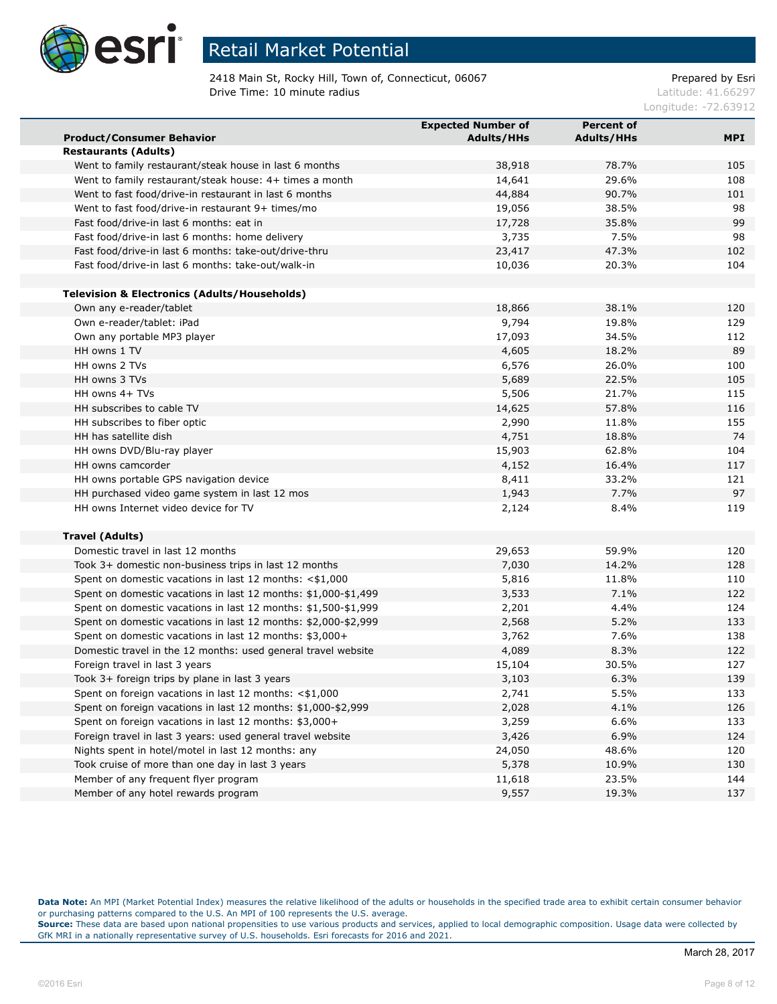

2418 Main St, Rocky Hill, Town of, Connecticut, 06067 example and the Prepared by Esri **Drive Time: 10 minute radius Latitude: 41.66297** 

Longitude: -72.63912

|                                                                | <b>Expected Number of</b> | <b>Percent of</b> |            |
|----------------------------------------------------------------|---------------------------|-------------------|------------|
| <b>Product/Consumer Behavior</b>                               | <b>Adults/HHs</b>         | <b>Adults/HHs</b> | <b>MPI</b> |
| <b>Restaurants (Adults)</b>                                    |                           |                   |            |
| Went to family restaurant/steak house in last 6 months         | 38,918                    | 78.7%             | 105        |
| Went to family restaurant/steak house: 4+ times a month        | 14,641                    | 29.6%             | 108        |
| Went to fast food/drive-in restaurant in last 6 months         | 44,884                    | 90.7%             | 101        |
| Went to fast food/drive-in restaurant 9+ times/mo              | 19,056                    | 38.5%             | 98         |
| Fast food/drive-in last 6 months: eat in                       | 17,728                    | 35.8%             | 99         |
| Fast food/drive-in last 6 months: home delivery                | 3,735                     | 7.5%              | 98         |
| Fast food/drive-in last 6 months: take-out/drive-thru          | 23,417                    | 47.3%             | 102        |
| Fast food/drive-in last 6 months: take-out/walk-in             | 10,036                    | 20.3%             | 104        |
|                                                                |                           |                   |            |
| <b>Television &amp; Electronics (Adults/Households)</b>        |                           |                   |            |
| Own any e-reader/tablet                                        | 18,866                    | 38.1%             | 120        |
| Own e-reader/tablet: iPad                                      | 9,794                     | 19.8%             | 129        |
| Own any portable MP3 player                                    | 17,093                    | 34.5%             | 112        |
| HH owns 1 TV                                                   | 4,605                     | 18.2%             | 89         |
| HH owns 2 TVs                                                  | 6,576                     | 26.0%             | 100        |
| HH owns 3 TVs                                                  | 5,689                     | 22.5%             | 105        |
| HH owns 4+ TVs                                                 | 5,506                     | 21.7%             | 115        |
| HH subscribes to cable TV                                      | 14,625                    | 57.8%             | 116        |
| HH subscribes to fiber optic                                   | 2,990                     | 11.8%             | 155        |
| HH has satellite dish                                          | 4,751                     | 18.8%             | 74         |
| HH owns DVD/Blu-ray player                                     | 15,903                    | 62.8%             | 104        |
| HH owns camcorder                                              | 4,152                     | 16.4%             | 117        |
| HH owns portable GPS navigation device                         | 8,411                     | 33.2%             | 121        |
| HH purchased video game system in last 12 mos                  | 1,943                     | 7.7%              | 97         |
| HH owns Internet video device for TV                           | 2,124                     | 8.4%              | 119        |
|                                                                |                           |                   |            |
| <b>Travel (Adults)</b>                                         |                           |                   |            |
| Domestic travel in last 12 months                              | 29,653                    | 59.9%             | 120        |
| Took 3+ domestic non-business trips in last 12 months          | 7,030                     | 14.2%             | 128        |
| Spent on domestic vacations in last 12 months: $<$ \$1,000     | 5,816                     | 11.8%             | 110        |
| Spent on domestic vacations in last 12 months: \$1,000-\$1,499 | 3,533                     | 7.1%              | 122        |
| Spent on domestic vacations in last 12 months: \$1,500-\$1,999 | 2,201                     | 4.4%              | 124        |
| Spent on domestic vacations in last 12 months: \$2,000-\$2,999 | 2,568                     | 5.2%              | 133        |
| Spent on domestic vacations in last 12 months: \$3,000+        | 3,762                     | 7.6%              | 138        |
| Domestic travel in the 12 months: used general travel website  | 4,089                     | 8.3%              | 122        |
| Foreign travel in last 3 years                                 | 15,104                    | 30.5%             | 127        |
| Took 3+ foreign trips by plane in last 3 years                 | 3,103                     | 6.3%              | 139        |
| Spent on foreign vacations in last 12 months: <\$1,000         | 2,741                     | 5.5%              | 133        |
| Spent on foreign vacations in last 12 months: \$1,000-\$2,999  | 2,028                     | 4.1%              | 126        |
| Spent on foreign vacations in last 12 months: \$3,000+         | 3,259                     | 6.6%              | 133        |
| Foreign travel in last 3 years: used general travel website    | 3,426                     | 6.9%              | 124        |
| Nights spent in hotel/motel in last 12 months: any             | 24,050                    | 48.6%             | 120        |
| Took cruise of more than one day in last 3 years               | 5,378                     | 10.9%             | 130        |
| Member of any frequent flyer program                           | 11,618                    | 23.5%             | 144        |
| Member of any hotel rewards program                            | 9,557                     | 19.3%             | 137        |

**Data Note:** An MPI (Market Potential Index) measures the relative likelihood of the adults or households in the specified trade area to exhibit certain consumer behavior or purchasing patterns compared to the U.S. An MPI of 100 represents the U.S. average.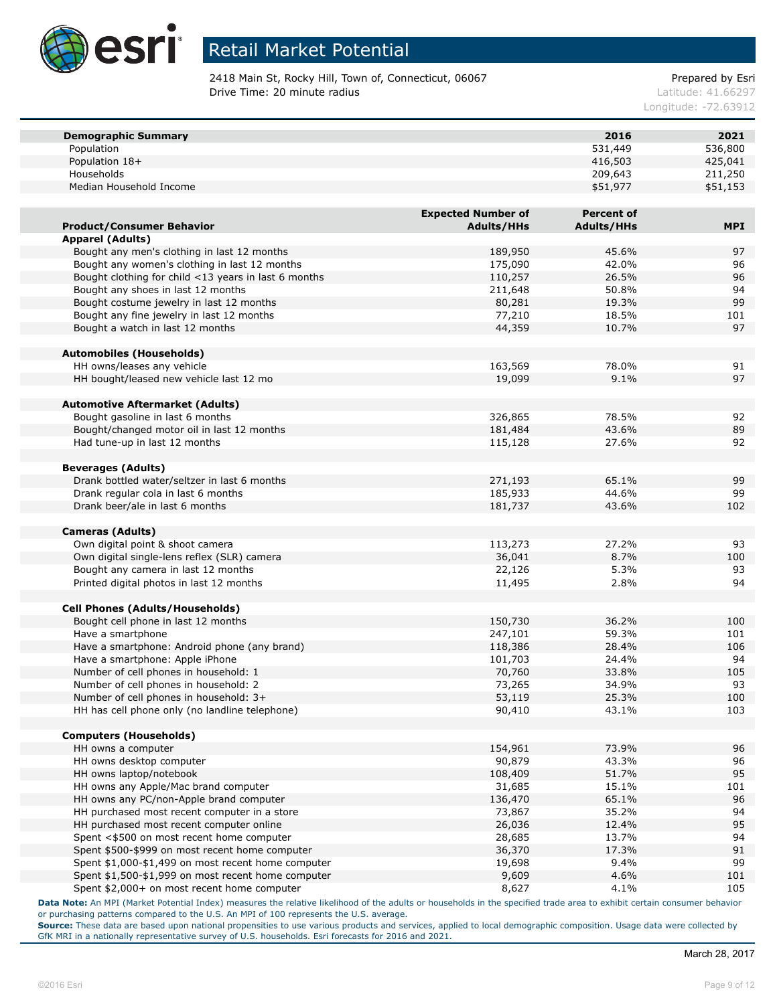

2418 Main St, Rocky Hill, Town of, Connecticut, 06067 example and the Prepared by Esri **Drive Time: 20 minute radius Latitude: 41.66297** 

Longitude: -72.63912

| <b>Demographic Summary</b>                           |                           | 2016                                   | 2021       |
|------------------------------------------------------|---------------------------|----------------------------------------|------------|
| Population                                           |                           | 531,449                                | 536,800    |
| Population 18+                                       |                           | 416,503                                | 425,041    |
| Households                                           |                           | 209,643                                | 211,250    |
| Median Household Income                              |                           | \$51,977                               | \$51,153   |
|                                                      | <b>Expected Number of</b> |                                        |            |
| <b>Product/Consumer Behavior</b>                     | <b>Adults/HHs</b>         | <b>Percent of</b><br><b>Adults/HHs</b> | <b>MPI</b> |
|                                                      |                           |                                        |            |
| <b>Apparel (Adults)</b>                              |                           |                                        |            |
| Bought any men's clothing in last 12 months          | 189,950                   | 45.6%                                  | 97         |
| Bought any women's clothing in last 12 months        | 175,090                   | 42.0%                                  | 96         |
| Bought clothing for child <13 years in last 6 months | 110,257                   | 26.5%                                  | 96         |
| Bought any shoes in last 12 months                   | 211,648                   | 50.8%                                  | 94         |
| Bought costume jewelry in last 12 months             | 80,281                    | 19.3%                                  | 99         |
| Bought any fine jewelry in last 12 months            | 77,210                    | 18.5%                                  | 101        |
| Bought a watch in last 12 months                     | 44,359                    | 10.7%                                  | 97         |
| <b>Automobiles (Households)</b>                      |                           |                                        |            |
| HH owns/leases any vehicle                           | 163,569                   | 78.0%                                  | 91         |
| HH bought/leased new vehicle last 12 mo              | 19,099                    | 9.1%                                   | 97         |
|                                                      |                           |                                        |            |
| <b>Automotive Aftermarket (Adults)</b>               |                           |                                        |            |
| Bought gasoline in last 6 months                     | 326,865                   | 78.5%                                  | 92         |
| Bought/changed motor oil in last 12 months           | 181,484                   | 43.6%                                  | 89         |
| Had tune-up in last 12 months                        | 115,128                   | 27.6%                                  | 92         |
|                                                      |                           |                                        |            |
| <b>Beverages (Adults)</b>                            |                           |                                        |            |
| Drank bottled water/seltzer in last 6 months         | 271,193                   | 65.1%                                  | 99         |
| Drank regular cola in last 6 months                  | 185,933                   | 44.6%                                  | 99         |
| Drank beer/ale in last 6 months                      | 181,737                   | 43.6%                                  | 102        |
|                                                      |                           |                                        |            |
| <b>Cameras (Adults)</b>                              |                           |                                        |            |
| Own digital point & shoot camera                     | 113,273                   | 27.2%                                  | 93         |
| Own digital single-lens reflex (SLR) camera          | 36,041                    | 8.7%                                   | 100        |
| Bought any camera in last 12 months                  | 22,126                    | 5.3%                                   | 93         |
| Printed digital photos in last 12 months             | 11,495                    | 2.8%                                   | 94         |
| <b>Cell Phones (Adults/Households)</b>               |                           |                                        |            |
| Bought cell phone in last 12 months                  | 150,730                   | 36.2%                                  | 100        |
| Have a smartphone                                    | 247,101                   | 59.3%                                  | 101        |
| Have a smartphone: Android phone (any brand)         | 118,386                   | 28.4%                                  | 106        |
| Have a smartphone: Apple iPhone                      | 101,703                   | 24.4%                                  | 94         |
| Number of cell phones in household: 1                |                           | 33.8%                                  | 105        |
|                                                      | 70,760                    |                                        | 93         |
| Number of cell phones in household: 2                | 73,265                    | 34.9%                                  |            |
| Number of cell phones in household: 3+               | 53,119                    | 25.3%                                  | 100        |
| HH has cell phone only (no landline telephone)       | 90,410                    | 43.1%                                  | 103        |
| <b>Computers (Households)</b>                        |                           |                                        |            |
| HH owns a computer                                   | 154,961                   | 73.9%                                  | 96         |
| HH owns desktop computer                             | 90,879                    | 43.3%                                  | 96         |
| HH owns laptop/notebook                              | 108,409                   | 51.7%                                  | 95         |
| HH owns any Apple/Mac brand computer                 | 31,685                    | 15.1%                                  | 101        |
| HH owns any PC/non-Apple brand computer              | 136,470                   | 65.1%                                  | 96         |
| HH purchased most recent computer in a store         | 73,867                    | 35.2%                                  | 94         |
| HH purchased most recent computer online             |                           | 12.4%                                  | 95         |
| Spent <\$500 on most recent home computer            | 26,036<br>28,685          | 13.7%                                  | 94         |
|                                                      |                           | 17.3%                                  |            |
| Spent \$500-\$999 on most recent home computer       | 36,370                    |                                        | 91         |
| Spent \$1,000-\$1,499 on most recent home computer   | 19,698                    | 9.4%                                   | 99         |
| Spent \$1,500-\$1,999 on most recent home computer   | 9,609                     | 4.6%                                   | 101        |
| Spent \$2,000+ on most recent home computer          | 8,627                     | 4.1%                                   | 105        |

**Data Note:** An MPI (Market Potential Index) measures the relative likelihood of the adults or households in the specified trade area to exhibit certain consumer behavior or purchasing patterns compared to the U.S. An MPI of 100 represents the U.S. average.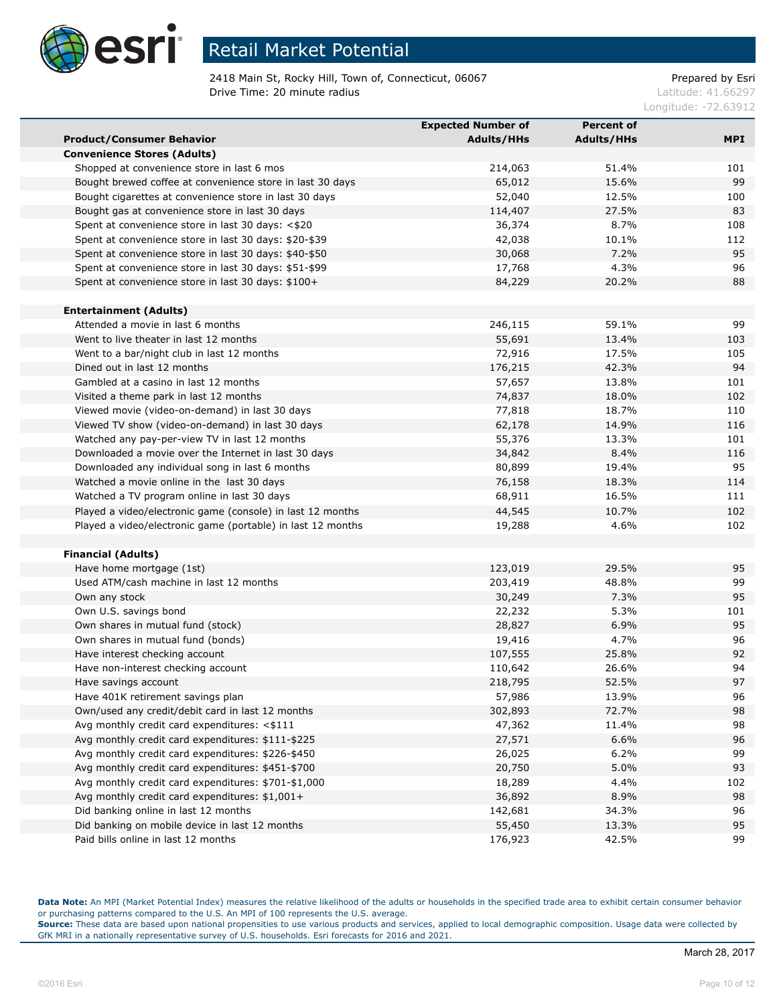

2418 Main St, Rocky Hill, Town of, Connecticut, 06067 Prepared by Esri **Drive Time: 20 minute radius Latitude: 41.66297** 

Longitude: -72.63912

|                                                             | <b>Expected Number of</b> | <b>Percent of</b> |     |
|-------------------------------------------------------------|---------------------------|-------------------|-----|
| <b>Product/Consumer Behavior</b>                            | <b>Adults/HHs</b>         | <b>Adults/HHs</b> | MPI |
| <b>Convenience Stores (Adults)</b>                          |                           |                   |     |
| Shopped at convenience store in last 6 mos                  | 214,063                   | 51.4%             | 101 |
| Bought brewed coffee at convenience store in last 30 days   | 65,012                    | 15.6%             | 99  |
| Bought cigarettes at convenience store in last 30 days      | 52,040                    | 12.5%             | 100 |
| Bought gas at convenience store in last 30 days             | 114,407                   | 27.5%             | 83  |
| Spent at convenience store in last 30 days: <\$20           | 36,374                    | 8.7%              | 108 |
| Spent at convenience store in last 30 days: \$20-\$39       | 42,038                    | 10.1%             | 112 |
| Spent at convenience store in last 30 days: \$40-\$50       | 30,068                    | 7.2%              | 95  |
| Spent at convenience store in last 30 days: \$51-\$99       | 17,768                    | 4.3%              | 96  |
| Spent at convenience store in last 30 days: \$100+          | 84,229                    | 20.2%             | 88  |
|                                                             |                           |                   |     |
| <b>Entertainment (Adults)</b>                               |                           |                   |     |
| Attended a movie in last 6 months                           | 246,115                   | 59.1%             | 99  |
| Went to live theater in last 12 months                      | 55,691                    | 13.4%             | 103 |
| Went to a bar/night club in last 12 months                  | 72,916                    | 17.5%             | 105 |
| Dined out in last 12 months                                 | 176,215                   | 42.3%             | 94  |
| Gambled at a casino in last 12 months                       | 57,657                    | 13.8%             | 101 |
| Visited a theme park in last 12 months                      | 74,837                    | 18.0%             | 102 |
| Viewed movie (video-on-demand) in last 30 days              | 77,818                    | 18.7%             | 110 |
| Viewed TV show (video-on-demand) in last 30 days            | 62,178                    | 14.9%             | 116 |
| Watched any pay-per-view TV in last 12 months               | 55,376                    | 13.3%             | 101 |
| Downloaded a movie over the Internet in last 30 days        | 34,842                    | 8.4%              | 116 |
| Downloaded any individual song in last 6 months             | 80,899                    | 19.4%             | 95  |
| Watched a movie online in the last 30 days                  | 76,158                    | 18.3%             | 114 |
| Watched a TV program online in last 30 days                 | 68,911                    | 16.5%             | 111 |
| Played a video/electronic game (console) in last 12 months  | 44,545                    | 10.7%             | 102 |
| Played a video/electronic game (portable) in last 12 months | 19,288                    | 4.6%              | 102 |
|                                                             |                           |                   |     |
| <b>Financial (Adults)</b>                                   |                           |                   |     |
| Have home mortgage (1st)                                    | 123,019                   | 29.5%             | 95  |
| Used ATM/cash machine in last 12 months                     | 203,419                   | 48.8%             | 99  |
| Own any stock                                               | 30,249                    | 7.3%              | 95  |
| Own U.S. savings bond                                       | 22,232                    | 5.3%              | 101 |
| Own shares in mutual fund (stock)                           | 28,827                    | 6.9%              | 95  |
| Own shares in mutual fund (bonds)                           | 19,416                    | 4.7%              | 96  |
| Have interest checking account                              | 107,555                   | 25.8%             | 92  |
| Have non-interest checking account                          | 110,642                   | 26.6%             | 94  |
| Have savings account                                        | 218,795                   | 52.5%             | 97  |
| Have 401K retirement savings plan                           | 57,986                    | 13.9%             | 96  |
| Own/used any credit/debit card in last 12 months            | 302,893                   | 72.7%             | 98  |
| Avg monthly credit card expenditures: <\$111                | 47,362                    | 11.4%             | 98  |
| Avg monthly credit card expenditures: \$111-\$225           | 27,571                    | 6.6%              | 96  |
| Avg monthly credit card expenditures: \$226-\$450           | 26,025                    | 6.2%              | 99  |
| Avg monthly credit card expenditures: \$451-\$700           | 20,750                    | 5.0%              | 93  |
| Avg monthly credit card expenditures: \$701-\$1,000         | 18,289                    | 4.4%              | 102 |
| Avg monthly credit card expenditures: \$1,001+              | 36,892                    | 8.9%              | 98  |
| Did banking online in last 12 months                        | 142,681                   | 34.3%             | 96  |
| Did banking on mobile device in last 12 months              | 55,450                    | 13.3%             | 95  |
| Paid bills online in last 12 months                         | 176,923                   | 42.5%             | 99  |

**Data Note:** An MPI (Market Potential Index) measures the relative likelihood of the adults or households in the specified trade area to exhibit certain consumer behavior or purchasing patterns compared to the U.S. An MPI of 100 represents the U.S. average.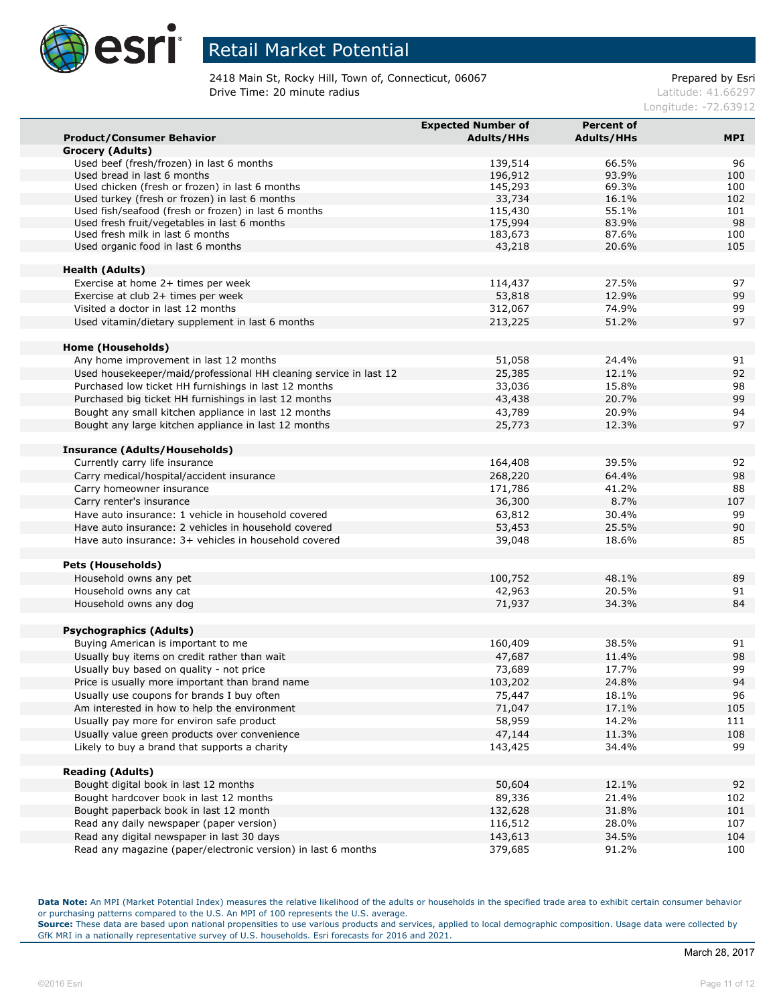

2418 Main St, Rocky Hill, Town of, Connecticut, 06067 example and the Prepared by Esri **Drive Time: 20 minute radius Latitude: 41.66297** 

Longitude: -72.63912

|                                                                   | <b>Expected Number of</b> | <b>Percent of</b> |            |
|-------------------------------------------------------------------|---------------------------|-------------------|------------|
| <b>Product/Consumer Behavior</b>                                  | <b>Adults/HHs</b>         | <b>Adults/HHs</b> | <b>MPI</b> |
| Grocery (Adults)                                                  |                           |                   |            |
| Used beef (fresh/frozen) in last 6 months                         | 139,514                   | 66.5%             | 96         |
| Used bread in last 6 months                                       | 196,912                   | 93.9%             | 100        |
| Used chicken (fresh or frozen) in last 6 months                   | 145,293                   | 69.3%             | 100        |
| Used turkey (fresh or frozen) in last 6 months                    | 33,734                    | 16.1%             | 102        |
| Used fish/seafood (fresh or frozen) in last 6 months              | 115,430                   | 55.1%             | 101        |
| Used fresh fruit/vegetables in last 6 months                      | 175,994                   | 83.9%             | 98         |
| Used fresh milk in last 6 months                                  | 183,673                   | 87.6%             | 100        |
| Used organic food in last 6 months                                | 43,218                    | 20.6%             | 105        |
| <b>Health (Adults)</b>                                            |                           |                   |            |
| Exercise at home 2+ times per week                                | 114,437                   | 27.5%             | 97         |
| Exercise at club 2+ times per week                                | 53,818                    | 12.9%             | 99         |
| Visited a doctor in last 12 months                                | 312,067                   | 74.9%             | 99         |
| Used vitamin/dietary supplement in last 6 months                  | 213,225                   | 51.2%             | 97         |
|                                                                   |                           |                   |            |
| Home (Households)                                                 |                           |                   |            |
| Any home improvement in last 12 months                            | 51,058                    | 24.4%             | 91         |
| Used housekeeper/maid/professional HH cleaning service in last 12 | 25,385                    | 12.1%             | 92         |
| Purchased low ticket HH furnishings in last 12 months             | 33,036                    | 15.8%             | 98         |
| Purchased big ticket HH furnishings in last 12 months             | 43,438                    | 20.7%             | 99         |
| Bought any small kitchen appliance in last 12 months              | 43,789                    | 20.9%             | 94         |
| Bought any large kitchen appliance in last 12 months              | 25,773                    | 12.3%             | 97         |
|                                                                   |                           |                   |            |
| Insurance (Adults/Households)                                     |                           |                   |            |
| Currently carry life insurance                                    | 164,408                   | 39.5%             | 92         |
| Carry medical/hospital/accident insurance                         | 268,220                   | 64.4%             | 98         |
| Carry homeowner insurance                                         | 171,786                   | 41.2%             | 88         |
| Carry renter's insurance                                          | 36,300                    | 8.7%              | 107        |
| Have auto insurance: 1 vehicle in household covered               | 63,812                    | 30.4%             | 99         |
| Have auto insurance: 2 vehicles in household covered              | 53,453                    | 25.5%             | 90         |
| Have auto insurance: 3+ vehicles in household covered             | 39,048                    | 18.6%             | 85         |
|                                                                   |                           |                   |            |
| <b>Pets (Households)</b>                                          |                           |                   |            |
| Household owns any pet                                            | 100,752                   | 48.1%             | 89         |
| Household owns any cat                                            | 42,963                    | 20.5%             | 91         |
| Household owns any dog                                            | 71,937                    | 34.3%             | 84         |
|                                                                   |                           |                   |            |
| <b>Psychographics (Adults)</b>                                    |                           |                   |            |
| Buying American is important to me                                | 160,409                   | 38.5%             | 91         |
| Usually buy items on credit rather than wait                      | 47,687                    | 11.4%             | 98         |
| Usually buy based on quality - not price                          | 73,689                    | 17.7%             | 99         |
| Price is usually more important than brand name                   | 103,202                   | 24.8%             | 94         |
| Usually use coupons for brands I buy often                        | 75,447                    | 18.1%             | 96         |
| Am interested in how to help the environment                      | 71,047                    | 17.1%             | 105        |
| Usually pay more for environ safe product                         | 58,959                    | 14.2%             | 111        |
| Usually value green products over convenience                     | 47,144                    | 11.3%             | 108        |
| Likely to buy a brand that supports a charity                     | 143,425                   | 34.4%             | 99         |
|                                                                   |                           |                   |            |
| <b>Reading (Adults)</b>                                           |                           |                   |            |
| Bought digital book in last 12 months                             | 50,604                    | 12.1%             | 92         |
| Bought hardcover book in last 12 months                           | 89,336                    | 21.4%             | 102        |
| Bought paperback book in last 12 month                            | 132,628                   | 31.8%             | 101        |
| Read any daily newspaper (paper version)                          | 116,512                   | 28.0%             | 107        |
| Read any digital newspaper in last 30 days                        | 143,613                   | 34.5%             | 104        |
| Read any magazine (paper/electronic version) in last 6 months     | 379,685                   | 91.2%             | 100        |
|                                                                   |                           |                   |            |

**Data Note:** An MPI (Market Potential Index) measures the relative likelihood of the adults or households in the specified trade area to exhibit certain consumer behavior or purchasing patterns compared to the U.S. An MPI of 100 represents the U.S. average.